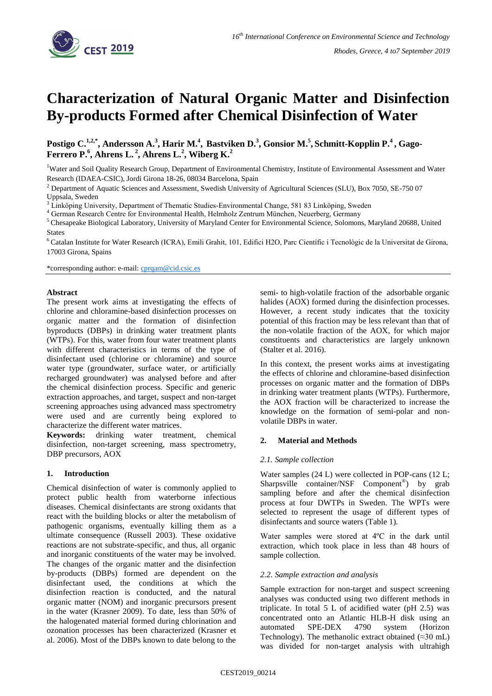

# **Characterization of Natural Organic Matter and Disinfection By-products Formed after Chemical Disinfection of Water**

Postigo C.<sup>1,2,\*</sup>, Andersson A.<sup>3</sup>, Harir M.<sup>4</sup>, Bastviken D.<sup>3</sup>, Gonsior M.<sup>5</sup>, Schmitt-Kopplin P.<sup>4</sup>, Gago-**Ferrero P. 6 , Ahrens L. <sup>2</sup> , Ahrens L. 2 , Wiberg K. 2**

<sup>1</sup>Water and Soil Quality Research Group, Department of Environmental Chemistry, Institute of Environmental Assessment and Water Research (IDAEA-CSIC), Jordi Girona 18-26, 08034 Barcelona, Spain

<sup>2</sup> Department of Aquatic Sciences and Assessment, Swedish University of Agricultural Sciences (SLU), Box 7050, SE-750 07 Uppsala, Sweden

<sup>4</sup> German Research Centre for Environmental Health, Helmholz Zentrum München, Neuerberg, Germany

<sup>5</sup> Chesapeake Biological Laboratory, University of Maryland Center for Environmental Science, Solomons, Maryland 20688, United **States** 

<sup>6</sup> Catalan Institute for Water Research (ICRA), Emili Grahit, 101, Edifici H2O, Parc Científic i Tecnològic de la Universitat de Girona, 17003 Girona, Spains

\*corresponding author: e-mail: [cprqam@cid.csic.es](mailto:cprqam@cid.csic.es)

## **Abstract**

The present work aims at investigating the effects of chlorine and chloramine-based disinfection processes on organic matter and the formation of disinfection byproducts (DBPs) in drinking water treatment plants (WTPs). For this, water from four water treatment plants with different characteristics in terms of the type of disinfectant used (chlorine or chloramine) and source water type (groundwater, surface water, or artificially recharged groundwater) was analysed before and after the chemical disinfection process. Specific and generic extraction approaches, and target, suspect and non-target screening approaches using advanced mass spectrometry were used and are currently being explored to characterize the different water matrices.

**Keywords:** drinking water treatment, chemical disinfection, non-target screening, mass spectrometry, DBP precursors, AOX

## **1. Introduction**

Chemical disinfection of water is commonly applied to protect public health from waterborne infectious diseases. Chemical disinfectants are strong oxidants that react with the building blocks or alter the metabolism of pathogenic organisms, eventually killing them as a ultimate consequence (Russell 2003). These oxidative reactions are not substrate-specific, and thus, all organic and inorganic constituents of the water may be involved. The changes of the organic matter and the disinfection by-products (DBPs) formed are dependent on the disinfectant used, the conditions at which the disinfection reaction is conducted, and the natural organic matter (NOM) and inorganic precursors present in the water (Krasner 2009). To date, less than 50% of the halogenated material formed during chlorination and ozonation processes has been characterized (Krasner et al. 2006). Most of the DBPs known to date belong to the

semi- to high-volatile fraction of the adsorbable organic halides (AOX) formed during the disinfection processes. However, a recent study indicates that the toxicity potential of this fraction may be less relevant than that of the non-volatile fraction of the AOX, for which major constituents and characteristics are largely unknown (Stalter et al. 2016).

In this context, the present works aims at investigating the effects of chlorine and chloramine-based disinfection processes on organic matter and the formation of DBPs in drinking water treatment plants (WTPs). Furthermore, the AOX fraction will be characterized to increase the knowledge on the formation of semi-polar and nonvolatile DBPs in water.

## **2. Material and Methods**

## *2.1. Sample collection*

Water samples (24 L) were collected in POP-cans (12 L; Sharpsville container/NSF Component®) by grab sampling before and after the chemical disinfection process at four DWTPs in Sweden. The WPTs were selected to represent the usage of different types of disinfectants and source waters (Table 1).

Water samples were stored at 4ºC in the dark until extraction, which took place in less than 48 hours of sample collection.

## *2.2. Sample extraction and analysis*

Sample extraction for non-target and suspect screening analyses was conducted using two different methods in triplicate. In total 5 L of acidified water (pH 2.5) was concentrated onto an Atlantic HLB-H disk using an automated SPE-DEX 4790 system (Horizon Technology). The methanolic extract obtained  $(\approx 30 \text{ mL})$ was divided for non-target analysis with ultrahigh

<sup>3</sup> Linköping University, Department of Thematic Studies-Environmental Change, 581 83 Linköping, Sweden